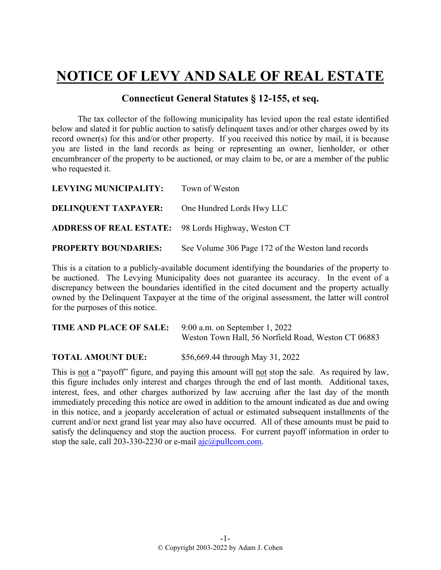## **NOTICE OF LEVY AND SALE OF REAL ESTATE**

## **Connecticut General Statutes § 12-155, et seq.**

The tax collector of the following municipality has levied upon the real estate identified below and slated it for public auction to satisfy delinquent taxes and/or other charges owed by its record owner(s) for this and/or other property. If you received this notice by mail, it is because you are listed in the land records as being or representing an owner, lienholder, or other encumbrancer of the property to be auctioned, or may claim to be, or are a member of the public who requested it.

| LEVYING MUNICIPALITY: Town of Weston                       |                                                    |
|------------------------------------------------------------|----------------------------------------------------|
| <b>DELINQUENT TAXPAYER:</b> One Hundred Lords Hwy LLC      |                                                    |
| <b>ADDRESS OF REAL ESTATE:</b> 98 Lords Highway, Weston CT |                                                    |
| <b>PROPERTY BOUNDARIES:</b>                                | See Volume 306 Page 172 of the Weston land records |

This is a citation to a publicly-available document identifying the boundaries of the property to be auctioned. The Levying Municipality does not guarantee its accuracy. In the event of a discrepancy between the boundaries identified in the cited document and the property actually owned by the Delinquent Taxpayer at the time of the original assessment, the latter will control for the purposes of this notice.

| <b>TIME AND PLACE OF SALE:</b> 9:00 a.m. on September 1, 2022 |                                                     |  |
|---------------------------------------------------------------|-----------------------------------------------------|--|
|                                                               | Weston Town Hall, 56 Norfield Road, Weston CT 06883 |  |

**TOTAL AMOUNT DUE:** \$56,669.44 through May 31, 2022

This is not a "payoff" figure, and paying this amount will not stop the sale. As required by law, this figure includes only interest and charges through the end of last month. Additional taxes, interest, fees, and other charges authorized by law accruing after the last day of the month immediately preceding this notice are owed in addition to the amount indicated as due and owing in this notice, and a jeopardy acceleration of actual or estimated subsequent installments of the current and/or next grand list year may also have occurred. All of these amounts must be paid to satisfy the delinquency and stop the auction process. For current payoff information in order to stop the sale, call 203-330-2230 or e-mail  $a$ jc $@p$ ullcom.com.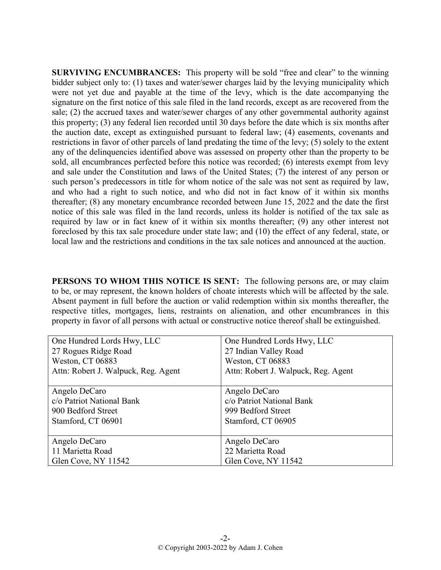**SURVIVING ENCUMBRANCES:** This property will be sold "free and clear" to the winning bidder subject only to: (1) taxes and water/sewer charges laid by the levying municipality which were not yet due and payable at the time of the levy, which is the date accompanying the signature on the first notice of this sale filed in the land records, except as are recovered from the sale; (2) the accrued taxes and water/sewer charges of any other governmental authority against this property; (3) any federal lien recorded until 30 days before the date which is six months after the auction date, except as extinguished pursuant to federal law; (4) easements, covenants and restrictions in favor of other parcels of land predating the time of the levy; (5) solely to the extent any of the delinquencies identified above was assessed on property other than the property to be sold, all encumbrances perfected before this notice was recorded; (6) interests exempt from levy and sale under the Constitution and laws of the United States; (7) the interest of any person or such person's predecessors in title for whom notice of the sale was not sent as required by law, and who had a right to such notice, and who did not in fact know of it within six months thereafter; (8) any monetary encumbrance recorded between June 15, 2022 and the date the first notice of this sale was filed in the land records, unless its holder is notified of the tax sale as required by law or in fact knew of it within six months thereafter; (9) any other interest not foreclosed by this tax sale procedure under state law; and (10) the effect of any federal, state, or local law and the restrictions and conditions in the tax sale notices and announced at the auction.

**PERSONS TO WHOM THIS NOTICE IS SENT:** The following persons are, or may claim to be, or may represent, the known holders of choate interests which will be affected by the sale. Absent payment in full before the auction or valid redemption within six months thereafter, the respective titles, mortgages, liens, restraints on alienation, and other encumbrances in this property in favor of all persons with actual or constructive notice thereof shall be extinguished.

| One Hundred Lords Hwy, LLC          | One Hundred Lords Hwy, LLC          |
|-------------------------------------|-------------------------------------|
| 27 Rogues Ridge Road                | 27 Indian Valley Road               |
| Weston, CT 06883                    | Weston, CT 06883                    |
| Attn: Robert J. Walpuck, Reg. Agent | Attn: Robert J. Walpuck, Reg. Agent |
|                                     |                                     |
| Angelo DeCaro                       | Angelo DeCaro                       |
| c/o Patriot National Bank           | c/o Patriot National Bank           |
| 900 Bedford Street                  | 999 Bedford Street                  |
| Stamford, CT 06901                  | Stamford, CT 06905                  |
|                                     |                                     |
| Angelo DeCaro                       | Angelo DeCaro                       |
| 11 Marietta Road                    | 22 Marietta Road                    |
| Glen Cove, NY 11542                 | Glen Cove, NY 11542                 |